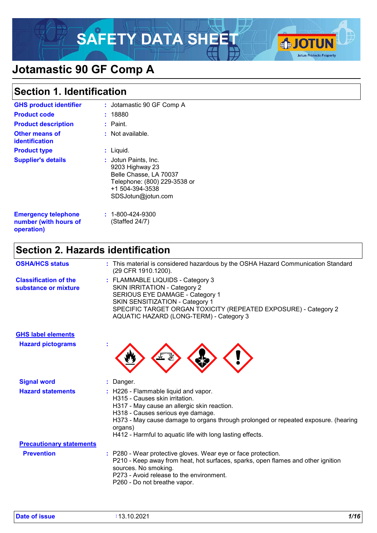# SAFETY DATA SHEET



# **Jotamastic 90 GF Comp A**

# **Section 1. Identification**

| <b>GHS product identifier</b>                                     | : Jotamastic 90 GF Comp A                                                                                                                |
|-------------------------------------------------------------------|------------------------------------------------------------------------------------------------------------------------------------------|
| <b>Product code</b>                                               | 18880                                                                                                                                    |
| <b>Product description</b>                                        | : Paint.                                                                                                                                 |
| <b>Other means of</b><br>identification                           | : Not available.                                                                                                                         |
| <b>Product type</b>                                               | Liquid.                                                                                                                                  |
| <b>Supplier's details</b>                                         | Jotun Paints, Inc.<br>9203 Highway 23<br>Belle Chasse, LA 70037<br>Telephone: (800) 229-3538 or<br>+1 504-394-3538<br>SDSJotun@jotun.com |
| <b>Emergency telephone</b><br>number (with hours of<br>operation) | $: 1 - 800 - 424 - 9300$<br>(Staffed 24/7)                                                                                               |

# **Section 2. Hazards identification**

| <b>OSHA/HCS status</b>                               | : This material is considered hazardous by the OSHA Hazard Communication Standard<br>(29 CFR 1910.1200).                                                                                                                                                                                                                             |
|------------------------------------------------------|--------------------------------------------------------------------------------------------------------------------------------------------------------------------------------------------------------------------------------------------------------------------------------------------------------------------------------------|
| <b>Classification of the</b><br>substance or mixture | : FLAMMABLE LIQUIDS - Category 3<br><b>SKIN IRRITATION - Category 2</b><br>SERIOUS EYE DAMAGE - Category 1<br>SKIN SENSITIZATION - Category 1<br>SPECIFIC TARGET ORGAN TOXICITY (REPEATED EXPOSURE) - Category 2<br>AQUATIC HAZARD (LONG-TERM) - Category 3                                                                          |
| <b>GHS label elements</b>                            |                                                                                                                                                                                                                                                                                                                                      |
| <b>Hazard pictograms</b>                             |                                                                                                                                                                                                                                                                                                                                      |
| <b>Signal word</b>                                   | Danger.<br>÷.                                                                                                                                                                                                                                                                                                                        |
| <b>Hazard statements</b>                             | : H226 - Flammable liquid and vapor.<br>H <sub>315</sub> - Causes skin irritation.<br>H317 - May cause an allergic skin reaction.<br>H318 - Causes serious eye damage.<br>H373 - May cause damage to organs through prolonged or repeated exposure. (hearing<br>organs)<br>H412 - Harmful to aquatic life with long lasting effects. |
| <b>Precautionary statements</b><br><b>Prevention</b> | : P280 - Wear protective gloves. Wear eye or face protection.<br>P210 - Keep away from heat, hot surfaces, sparks, open flames and other ignition<br>sources. No smoking.<br>P273 - Avoid release to the environment.<br>P260 - Do not breathe vapor.                                                                                |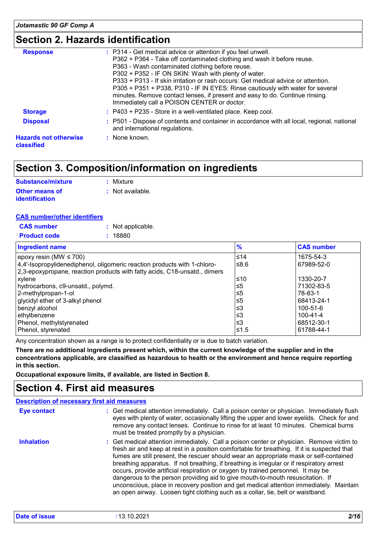# **Section 2. Hazards identification**

| <b>Response</b>                            | : P314 - Get medical advice or attention if you feel unwell.<br>P362 + P364 - Take off contaminated clothing and wash it before reuse.<br>P363 - Wash contaminated clothing before reuse.<br>P302 + P352 - IF ON SKIN: Wash with plenty of water.<br>P333 + P313 - If skin irritation or rash occurs: Get medical advice or attention.<br>P305 + P351 + P338, P310 - IF IN EYES: Rinse cautiously with water for several<br>minutes. Remove contact lenses, if present and easy to do. Continue rinsing.<br>Immediately call a POISON CENTER or doctor. |
|--------------------------------------------|---------------------------------------------------------------------------------------------------------------------------------------------------------------------------------------------------------------------------------------------------------------------------------------------------------------------------------------------------------------------------------------------------------------------------------------------------------------------------------------------------------------------------------------------------------|
| <b>Storage</b>                             | : P403 + P235 - Store in a well-ventilated place. Keep cool.                                                                                                                                                                                                                                                                                                                                                                                                                                                                                            |
| <b>Disposal</b>                            | : P501 - Dispose of contents and container in accordance with all local, regional, national<br>and international regulations.                                                                                                                                                                                                                                                                                                                                                                                                                           |
| <b>Hazards not otherwise</b><br>classified | : None known.                                                                                                                                                                                                                                                                                                                                                                                                                                                                                                                                           |
|                                            |                                                                                                                                                                                                                                                                                                                                                                                                                                                                                                                                                         |

# **Section 3. Composition/information on ingredients**

| <b>Substance/mixture</b> | : Mixture        |
|--------------------------|------------------|
| <b>Other means of</b>    | : Not available. |
| <b>identification</b>    |                  |

### **CAS number/other identifiers**

| <b>CAS number</b>   | : Not applicable. |
|---------------------|-------------------|
| <b>Product code</b> | : 18880           |

| <b>Ingredient name</b>                                                    | $\frac{9}{6}$ | <b>CAS number</b> |
|---------------------------------------------------------------------------|---------------|-------------------|
| epoxy resin (MW $\leq$ 700)                                               | $\leq 14$     | 1675-54-3         |
| 4,4'-Isopropylidenediphenol, oligomeric reaction products with 1-chloro-  | 1≤8.6         | 67989-52-0        |
| 2,3-epoxypropane, reaction products with fatty acids, C18-unsatd., dimers |               |                   |
| xylene                                                                    | l≤10          | 1330-20-7         |
| hydrocarbons, c9-unsatd., polymd.                                         | ≤5            | 71302-83-5        |
| 2-methylpropan-1-ol                                                       | ≤5            | 78-83-1           |
| glycidyl ether of 3-alkyl phenol                                          | ≤5            | 68413-24-1        |
| benzyl alcohol                                                            | ∣≤3           | 100-51-6          |
| ∣ethylbenzene                                                             | l≤3           | 100-41-4          |
| Phenol, methylstyrenated                                                  | l≤3           | 68512-30-1        |
| Phenol, styrenated                                                        | 1≤1.5         | 61788-44-1        |

Any concentration shown as a range is to protect confidentiality or is due to batch variation.

**There are no additional ingredients present which, within the current knowledge of the supplier and in the concentrations applicable, are classified as hazardous to health or the environment and hence require reporting in this section.**

**Occupational exposure limits, if available, are listed in Section 8.**

# **Section 4. First aid measures**

|                    | <b>Description of necessary first aid measures</b>                                                                                                                                                                                                                                                                                                                                                                                                                                                                                                                                                                                                                                                                                 |
|--------------------|------------------------------------------------------------------------------------------------------------------------------------------------------------------------------------------------------------------------------------------------------------------------------------------------------------------------------------------------------------------------------------------------------------------------------------------------------------------------------------------------------------------------------------------------------------------------------------------------------------------------------------------------------------------------------------------------------------------------------------|
| <b>Eye contact</b> | : Get medical attention immediately. Call a poison center or physician. Immediately flush<br>eyes with plenty of water, occasionally lifting the upper and lower eyelids. Check for and<br>remove any contact lenses. Continue to rinse for at least 10 minutes. Chemical burns<br>must be treated promptly by a physician.                                                                                                                                                                                                                                                                                                                                                                                                        |
| <b>Inhalation</b>  | : Get medical attention immediately. Call a poison center or physician. Remove victim to<br>fresh air and keep at rest in a position comfortable for breathing. If it is suspected that<br>fumes are still present, the rescuer should wear an appropriate mask or self-contained<br>breathing apparatus. If not breathing, if breathing is irregular or if respiratory arrest<br>occurs, provide artificial respiration or oxygen by trained personnel. It may be<br>dangerous to the person providing aid to give mouth-to-mouth resuscitation. If<br>unconscious, place in recovery position and get medical attention immediately. Maintain<br>an open airway. Loosen tight clothing such as a collar, tie, belt or waistband. |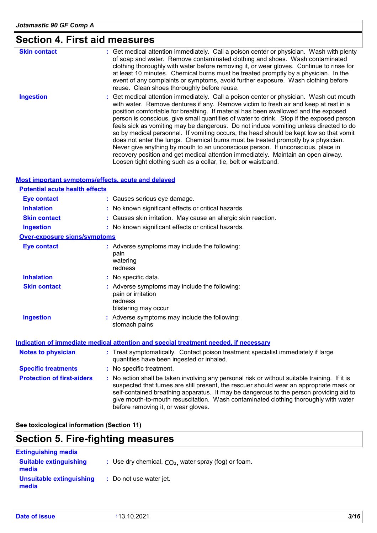# **Section 4. First aid measures**

| <b>Skin contact</b> | : Get medical attention immediately. Call a poison center or physician. Wash with plenty<br>of soap and water. Remove contaminated clothing and shoes. Wash contaminated<br>clothing thoroughly with water before removing it, or wear gloves. Continue to rinse for<br>at least 10 minutes. Chemical burns must be treated promptly by a physician. In the<br>event of any complaints or symptoms, avoid further exposure. Wash clothing before<br>reuse. Clean shoes thoroughly before reuse.                                                                                                                                                                                                                                                                                                                                                                                     |
|---------------------|-------------------------------------------------------------------------------------------------------------------------------------------------------------------------------------------------------------------------------------------------------------------------------------------------------------------------------------------------------------------------------------------------------------------------------------------------------------------------------------------------------------------------------------------------------------------------------------------------------------------------------------------------------------------------------------------------------------------------------------------------------------------------------------------------------------------------------------------------------------------------------------|
| <b>Ingestion</b>    | : Get medical attention immediately. Call a poison center or physician. Wash out mouth<br>with water. Remove dentures if any. Remove victim to fresh air and keep at rest in a<br>position comfortable for breathing. If material has been swallowed and the exposed<br>person is conscious, give small quantities of water to drink. Stop if the exposed person<br>feels sick as vomiting may be dangerous. Do not induce vomiting unless directed to do<br>so by medical personnel. If vomiting occurs, the head should be kept low so that vomit<br>does not enter the lungs. Chemical burns must be treated promptly by a physician.<br>Never give anything by mouth to an unconscious person. If unconscious, place in<br>recovery position and get medical attention immediately. Maintain an open airway.<br>Loosen tight clothing such as a collar, tie, belt or waistband. |

### **Most important symptoms/effects, acute and delayed**

| <b>Potential acute health effects</b> |                                                                                                                                                                                                                                                                                                                                                                                                                 |
|---------------------------------------|-----------------------------------------------------------------------------------------------------------------------------------------------------------------------------------------------------------------------------------------------------------------------------------------------------------------------------------------------------------------------------------------------------------------|
| <b>Eye contact</b>                    | : Causes serious eye damage.                                                                                                                                                                                                                                                                                                                                                                                    |
| <b>Inhalation</b>                     | : No known significant effects or critical hazards.                                                                                                                                                                                                                                                                                                                                                             |
| <b>Skin contact</b>                   | : Causes skin irritation. May cause an allergic skin reaction.                                                                                                                                                                                                                                                                                                                                                  |
| <b>Ingestion</b>                      | : No known significant effects or critical hazards.                                                                                                                                                                                                                                                                                                                                                             |
| <b>Over-exposure signs/symptoms</b>   |                                                                                                                                                                                                                                                                                                                                                                                                                 |
| <b>Eye contact</b>                    | : Adverse symptoms may include the following:<br>pain<br>watering<br>redness                                                                                                                                                                                                                                                                                                                                    |
| <b>Inhalation</b>                     | : No specific data.                                                                                                                                                                                                                                                                                                                                                                                             |
| <b>Skin contact</b>                   | : Adverse symptoms may include the following:<br>pain or irritation<br>redness<br>blistering may occur                                                                                                                                                                                                                                                                                                          |
| <b>Ingestion</b>                      | : Adverse symptoms may include the following:<br>stomach pains                                                                                                                                                                                                                                                                                                                                                  |
|                                       | Indication of immediate medical attention and special treatment needed, if necessary                                                                                                                                                                                                                                                                                                                            |
| <b>Notes to physician</b>             | : Treat symptomatically. Contact poison treatment specialist immediately if large<br>quantities have been ingested or inhaled.                                                                                                                                                                                                                                                                                  |
| <b>Specific treatments</b>            | : No specific treatment.                                                                                                                                                                                                                                                                                                                                                                                        |
| <b>Protection of first-aiders</b>     | : No action shall be taken involving any personal risk or without suitable training. If it is<br>suspected that fumes are still present, the rescuer should wear an appropriate mask or<br>self-contained breathing apparatus. It may be dangerous to the person providing aid to<br>give mouth-to-mouth resuscitation. Wash contaminated clothing thoroughly with water<br>before removing it, or wear gloves. |

**See toxicological information (Section 11)**

# **Section 5. Fire-fighting measures**

| <b>Extinguishing media</b>             |                                                        |
|----------------------------------------|--------------------------------------------------------|
| <b>Suitable extinguishing</b><br>media | : Use dry chemical, $CO2$ , water spray (fog) or foam. |
| Unsuitable extinguishing<br>media      | : Do not use water jet.                                |

| Date of issue | :13.10.2021 | 3/16 |
|---------------|-------------|------|
|               |             |      |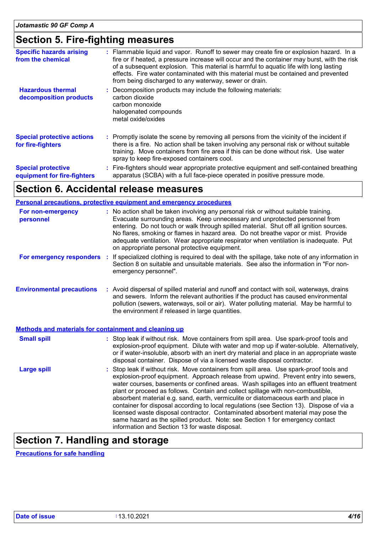# **Section 5. Fire-fighting measures**

| <b>Specific hazards arising</b><br>from the chemical     | : Flammable liquid and vapor. Runoff to sewer may create fire or explosion hazard. In a<br>fire or if heated, a pressure increase will occur and the container may burst, with the risk<br>of a subsequent explosion. This material is harmful to aquatic life with long lasting<br>effects. Fire water contaminated with this material must be contained and prevented<br>from being discharged to any waterway, sewer or drain. |
|----------------------------------------------------------|-----------------------------------------------------------------------------------------------------------------------------------------------------------------------------------------------------------------------------------------------------------------------------------------------------------------------------------------------------------------------------------------------------------------------------------|
| <b>Hazardous thermal</b><br>decomposition products       | Decomposition products may include the following materials:<br>carbon dioxide<br>carbon monoxide<br>halogenated compounds<br>metal oxide/oxides                                                                                                                                                                                                                                                                                   |
| <b>Special protective actions</b><br>for fire-fighters   | : Promptly isolate the scene by removing all persons from the vicinity of the incident if<br>there is a fire. No action shall be taken involving any personal risk or without suitable<br>training. Move containers from fire area if this can be done without risk. Use water<br>spray to keep fire-exposed containers cool.                                                                                                     |
| <b>Special protective</b><br>equipment for fire-fighters | : Fire-fighters should wear appropriate protective equipment and self-contained breathing<br>apparatus (SCBA) with a full face-piece operated in positive pressure mode.                                                                                                                                                                                                                                                          |

# **Section 6. Accidental release measures**

### **Personal precautions, protective equipment and emergency procedures**

| For non-emergency<br>personnel                               | : No action shall be taken involving any personal risk or without suitable training.<br>Evacuate surrounding areas. Keep unnecessary and unprotected personnel from<br>entering. Do not touch or walk through spilled material. Shut off all ignition sources.<br>No flares, smoking or flames in hazard area. Do not breathe vapor or mist. Provide<br>adequate ventilation. Wear appropriate respirator when ventilation is inadequate. Put<br>on appropriate personal protective equipment.                                                                                                                                                                                                                                                                       |
|--------------------------------------------------------------|----------------------------------------------------------------------------------------------------------------------------------------------------------------------------------------------------------------------------------------------------------------------------------------------------------------------------------------------------------------------------------------------------------------------------------------------------------------------------------------------------------------------------------------------------------------------------------------------------------------------------------------------------------------------------------------------------------------------------------------------------------------------|
| For emergency responders                                     | : If specialized clothing is required to deal with the spillage, take note of any information in<br>Section 8 on suitable and unsuitable materials. See also the information in "For non-<br>emergency personnel".                                                                                                                                                                                                                                                                                                                                                                                                                                                                                                                                                   |
| <b>Environmental precautions</b>                             | : Avoid dispersal of spilled material and runoff and contact with soil, waterways, drains<br>and sewers. Inform the relevant authorities if the product has caused environmental<br>pollution (sewers, waterways, soil or air). Water polluting material. May be harmful to<br>the environment if released in large quantities.                                                                                                                                                                                                                                                                                                                                                                                                                                      |
| <b>Methods and materials for containment and cleaning up</b> |                                                                                                                                                                                                                                                                                                                                                                                                                                                                                                                                                                                                                                                                                                                                                                      |
| <b>Small spill</b>                                           | : Stop leak if without risk. Move containers from spill area. Use spark-proof tools and<br>explosion-proof equipment. Dilute with water and mop up if water-soluble. Alternatively,<br>or if water-insoluble, absorb with an inert dry material and place in an appropriate waste<br>disposal container. Dispose of via a licensed waste disposal contractor.                                                                                                                                                                                                                                                                                                                                                                                                        |
| <b>Large spill</b>                                           | : Stop leak if without risk. Move containers from spill area. Use spark-proof tools and<br>explosion-proof equipment. Approach release from upwind. Prevent entry into sewers,<br>water courses, basements or confined areas. Wash spillages into an effluent treatment<br>plant or proceed as follows. Contain and collect spillage with non-combustible,<br>absorbent material e.g. sand, earth, vermiculite or diatomaceous earth and place in<br>container for disposal according to local regulations (see Section 13). Dispose of via a<br>licensed waste disposal contractor. Contaminated absorbent material may pose the<br>same hazard as the spilled product. Note: see Section 1 for emergency contact<br>information and Section 13 for waste disposal. |

# **Section 7. Handling and storage**

**Precautions for safe handling**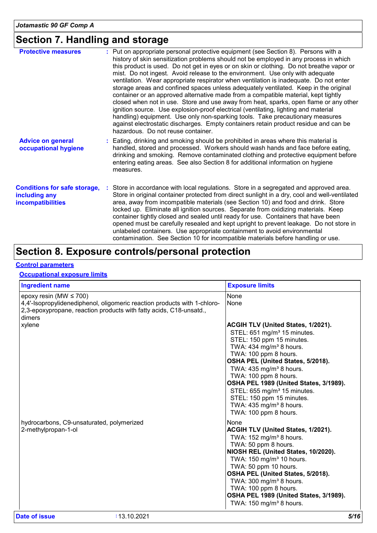# **Section 7. Handling and storage**

| <b>Protective measures</b>                                                       | : Put on appropriate personal protective equipment (see Section 8). Persons with a<br>history of skin sensitization problems should not be employed in any process in which<br>this product is used. Do not get in eyes or on skin or clothing. Do not breathe vapor or<br>mist. Do not ingest. Avoid release to the environment. Use only with adequate<br>ventilation. Wear appropriate respirator when ventilation is inadequate. Do not enter<br>storage areas and confined spaces unless adequately ventilated. Keep in the original<br>container or an approved alternative made from a compatible material, kept tightly<br>closed when not in use. Store and use away from heat, sparks, open flame or any other<br>ignition source. Use explosion-proof electrical (ventilating, lighting and material<br>handling) equipment. Use only non-sparking tools. Take precautionary measures<br>against electrostatic discharges. Empty containers retain product residue and can be<br>hazardous. Do not reuse container. |
|----------------------------------------------------------------------------------|--------------------------------------------------------------------------------------------------------------------------------------------------------------------------------------------------------------------------------------------------------------------------------------------------------------------------------------------------------------------------------------------------------------------------------------------------------------------------------------------------------------------------------------------------------------------------------------------------------------------------------------------------------------------------------------------------------------------------------------------------------------------------------------------------------------------------------------------------------------------------------------------------------------------------------------------------------------------------------------------------------------------------------|
| <b>Advice on general</b><br>occupational hygiene                                 | : Eating, drinking and smoking should be prohibited in areas where this material is<br>handled, stored and processed. Workers should wash hands and face before eating,<br>drinking and smoking. Remove contaminated clothing and protective equipment before<br>entering eating areas. See also Section 8 for additional information on hygiene<br>measures.                                                                                                                                                                                                                                                                                                                                                                                                                                                                                                                                                                                                                                                                  |
| <b>Conditions for safe storage,</b><br>including any<br><b>incompatibilities</b> | Store in accordance with local regulations. Store in a segregated and approved area.<br>Store in original container protected from direct sunlight in a dry, cool and well-ventilated<br>area, away from incompatible materials (see Section 10) and food and drink. Store<br>locked up. Eliminate all ignition sources. Separate from oxidizing materials. Keep<br>container tightly closed and sealed until ready for use. Containers that have been<br>opened must be carefully resealed and kept upright to prevent leakage. Do not store in<br>unlabeled containers. Use appropriate containment to avoid environmental<br>contamination. See Section 10 for incompatible materials before handling or use.                                                                                                                                                                                                                                                                                                               |

# **Section 8. Exposure controls/personal protection**

# **Control parameters**

# **Occupational exposure limits**

| <b>Ingredient name</b>                                                                                                                                                                  | <b>Exposure limits</b>                                                                                                                                                                                                                                                                                                                                                                                                                                             |
|-----------------------------------------------------------------------------------------------------------------------------------------------------------------------------------------|--------------------------------------------------------------------------------------------------------------------------------------------------------------------------------------------------------------------------------------------------------------------------------------------------------------------------------------------------------------------------------------------------------------------------------------------------------------------|
| epoxy resin (MW $\leq$ 700)<br>4,4'-Isopropylidenediphenol, oligomeric reaction products with 1-chloro-<br>2,3-epoxypropane, reaction products with fatty acids, C18-unsatd.,<br>dimers | None<br>None                                                                                                                                                                                                                                                                                                                                                                                                                                                       |
| xylene                                                                                                                                                                                  | ACGIH TLV (United States, 1/2021).<br>STEL: 651 mg/m <sup>3</sup> 15 minutes.<br>STEL: 150 ppm 15 minutes.<br>TWA: 434 mg/m <sup>3</sup> 8 hours.<br>TWA: 100 ppm 8 hours.<br>OSHA PEL (United States, 5/2018).<br>TWA: $435 \text{ mg/m}^3$ 8 hours.<br>TWA: 100 ppm 8 hours.<br>OSHA PEL 1989 (United States, 3/1989).<br>STEL: 655 mg/m <sup>3</sup> 15 minutes.<br>STEL: 150 ppm 15 minutes.<br>TWA: $435$ mg/m <sup>3</sup> 8 hours.<br>TWA: 100 ppm 8 hours. |
| hydrocarbons, C9-unsaturated, polymerized<br>2-methylpropan-1-ol                                                                                                                        | None<br>ACGIH TLV (United States, 1/2021).<br>TWA: 152 mg/m <sup>3</sup> 8 hours.<br>TWA: 50 ppm 8 hours.<br>NIOSH REL (United States, 10/2020).<br>TWA: 150 mg/m <sup>3</sup> 10 hours.<br>TWA: 50 ppm 10 hours.<br>OSHA PEL (United States, 5/2018).<br>TWA: 300 mg/m <sup>3</sup> 8 hours.<br>TWA: 100 ppm 8 hours.<br>OSHA PEL 1989 (United States, 3/1989).<br>TWA: 150 mg/m <sup>3</sup> 8 hours.                                                            |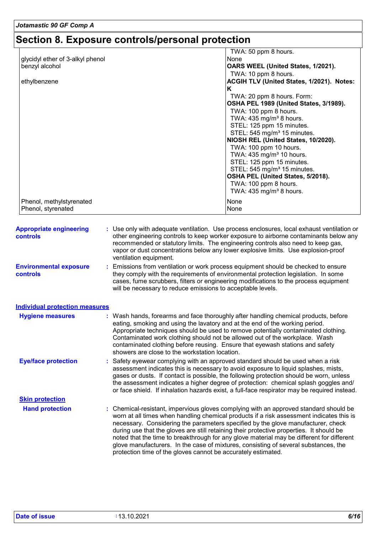# **Section 8. Exposure controls/personal protection**

| glycidyl ether of 3-alkyl phenol<br>None<br>OARS WEEL (United States, 1/2021).<br>benzyl alcohol<br>TWA: 10 ppm 8 hours.<br>ACGIH TLV (United States, 1/2021). Notes:<br>ethylbenzene<br>K<br>TWA: 20 ppm 8 hours. Form:<br>OSHA PEL 1989 (United States, 3/1989).<br>TWA: 100 ppm 8 hours.<br>TWA: $435 \text{ mg/m}^3$ 8 hours.<br>STEL: 125 ppm 15 minutes.<br>STEL: 545 mg/m <sup>3</sup> 15 minutes.<br>NIOSH REL (United States, 10/2020).<br>TWA: 100 ppm 10 hours.<br>TWA: $435 \text{ mg/m}^3$ 10 hours.<br>STEL: 125 ppm 15 minutes.<br>STEL: 545 mg/m <sup>3</sup> 15 minutes.<br>OSHA PEL (United States, 5/2018).<br>TWA: 100 ppm 8 hours.<br>TWA: $435 \text{ mg/m}^3$ 8 hours.<br>Phenol, methylstyrenated<br>None |                                | TWA: 50 ppm 8 hours. |
|-----------------------------------------------------------------------------------------------------------------------------------------------------------------------------------------------------------------------------------------------------------------------------------------------------------------------------------------------------------------------------------------------------------------------------------------------------------------------------------------------------------------------------------------------------------------------------------------------------------------------------------------------------------------------------------------------------------------------------------|--------------------------------|----------------------|
|                                                                                                                                                                                                                                                                                                                                                                                                                                                                                                                                                                                                                                                                                                                                   |                                |                      |
|                                                                                                                                                                                                                                                                                                                                                                                                                                                                                                                                                                                                                                                                                                                                   |                                |                      |
|                                                                                                                                                                                                                                                                                                                                                                                                                                                                                                                                                                                                                                                                                                                                   |                                |                      |
|                                                                                                                                                                                                                                                                                                                                                                                                                                                                                                                                                                                                                                                                                                                                   |                                |                      |
|                                                                                                                                                                                                                                                                                                                                                                                                                                                                                                                                                                                                                                                                                                                                   |                                |                      |
|                                                                                                                                                                                                                                                                                                                                                                                                                                                                                                                                                                                                                                                                                                                                   |                                |                      |
|                                                                                                                                                                                                                                                                                                                                                                                                                                                                                                                                                                                                                                                                                                                                   |                                |                      |
|                                                                                                                                                                                                                                                                                                                                                                                                                                                                                                                                                                                                                                                                                                                                   |                                |                      |
|                                                                                                                                                                                                                                                                                                                                                                                                                                                                                                                                                                                                                                                                                                                                   |                                |                      |
|                                                                                                                                                                                                                                                                                                                                                                                                                                                                                                                                                                                                                                                                                                                                   |                                |                      |
|                                                                                                                                                                                                                                                                                                                                                                                                                                                                                                                                                                                                                                                                                                                                   |                                |                      |
|                                                                                                                                                                                                                                                                                                                                                                                                                                                                                                                                                                                                                                                                                                                                   |                                |                      |
|                                                                                                                                                                                                                                                                                                                                                                                                                                                                                                                                                                                                                                                                                                                                   |                                |                      |
|                                                                                                                                                                                                                                                                                                                                                                                                                                                                                                                                                                                                                                                                                                                                   |                                |                      |
|                                                                                                                                                                                                                                                                                                                                                                                                                                                                                                                                                                                                                                                                                                                                   |                                |                      |
|                                                                                                                                                                                                                                                                                                                                                                                                                                                                                                                                                                                                                                                                                                                                   |                                |                      |
|                                                                                                                                                                                                                                                                                                                                                                                                                                                                                                                                                                                                                                                                                                                                   |                                |                      |
|                                                                                                                                                                                                                                                                                                                                                                                                                                                                                                                                                                                                                                                                                                                                   |                                |                      |
|                                                                                                                                                                                                                                                                                                                                                                                                                                                                                                                                                                                                                                                                                                                                   |                                |                      |
|                                                                                                                                                                                                                                                                                                                                                                                                                                                                                                                                                                                                                                                                                                                                   |                                |                      |
|                                                                                                                                                                                                                                                                                                                                                                                                                                                                                                                                                                                                                                                                                                                                   | Phenol, styrenated             | None                 |
|                                                                                                                                                                                                                                                                                                                                                                                                                                                                                                                                                                                                                                                                                                                                   | <b>Appropriate engineering</b> |                      |
|                                                                                                                                                                                                                                                                                                                                                                                                                                                                                                                                                                                                                                                                                                                                   | controls                       |                      |
| : Use only with adequate ventilation. Use process enclosures, local exhaust ventilation or<br>other engineering controls to keep worker exposure to airborne contaminants below any                                                                                                                                                                                                                                                                                                                                                                                                                                                                                                                                               |                                |                      |
| recommended or statutory limits. The engineering controls also need to keep gas,                                                                                                                                                                                                                                                                                                                                                                                                                                                                                                                                                                                                                                                  |                                |                      |
| vapor or dust concentrations below any lower explosive limits. Use explosion-proof                                                                                                                                                                                                                                                                                                                                                                                                                                                                                                                                                                                                                                                | ventilation equipment.         |                      |

**Environmental exposure controls :** Emissions from ventilation or work process equipment should be checked to ensure they comply with the requirements of environmental protection legislation. In some cases, fume scrubbers, filters or engineering modifications to the process equipment will be necessary to reduce emissions to acceptable levels.

**Hand protection** : Chemical-resistant, impervious gloves complying with an approved standard should be worn at all times when handling chemical products if a risk assessment indicates this is necessary. Considering the parameters specified by the glove manufacturer, check Safety eyewear complying with an approved standard should be used when a risk **:** assessment indicates this is necessary to avoid exposure to liquid splashes, mists, gases or dusts. If contact is possible, the following protection should be worn, unless the assessment indicates a higher degree of protection: chemical splash goggles and/ or face shield. If inhalation hazards exist, a full-face respirator may be required instead. **Eye/face protection** Wash hands, forearms and face thoroughly after handling chemical products, before eating, smoking and using the lavatory and at the end of the working period. Appropriate techniques should be used to remove potentially contaminated clothing. Contaminated work clothing should not be allowed out of the workplace. Wash contaminated clothing before reusing. Ensure that eyewash stations and safety showers are close to the workstation location. **Hygiene measures : Individual protection measures Skin protection**

protection time of the gloves cannot be accurately estimated.

during use that the gloves are still retaining their protective properties. It should be noted that the time to breakthrough for any glove material may be different for different glove manufacturers. In the case of mixtures, consisting of several substances, the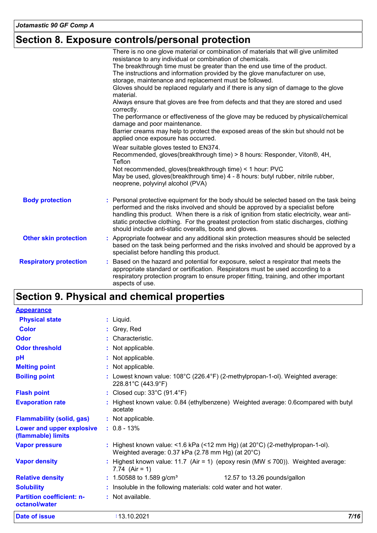# **Section 8. Exposure controls/personal protection**

|                               | There is no one glove material or combination of materials that will give unlimited<br>resistance to any individual or combination of chemicals.                                                                                                                                                                                                                                                                               |
|-------------------------------|--------------------------------------------------------------------------------------------------------------------------------------------------------------------------------------------------------------------------------------------------------------------------------------------------------------------------------------------------------------------------------------------------------------------------------|
|                               | The breakthrough time must be greater than the end use time of the product.                                                                                                                                                                                                                                                                                                                                                    |
|                               | The instructions and information provided by the glove manufacturer on use,                                                                                                                                                                                                                                                                                                                                                    |
|                               | storage, maintenance and replacement must be followed.                                                                                                                                                                                                                                                                                                                                                                         |
|                               | Gloves should be replaced regularly and if there is any sign of damage to the glove<br>material.                                                                                                                                                                                                                                                                                                                               |
|                               | Always ensure that gloves are free from defects and that they are stored and used<br>correctly.                                                                                                                                                                                                                                                                                                                                |
|                               | The performance or effectiveness of the glove may be reduced by physical/chemical<br>damage and poor maintenance.                                                                                                                                                                                                                                                                                                              |
|                               | Barrier creams may help to protect the exposed areas of the skin but should not be<br>applied once exposure has occurred.                                                                                                                                                                                                                                                                                                      |
|                               | Wear suitable gloves tested to EN374.                                                                                                                                                                                                                                                                                                                                                                                          |
|                               | Recommended, gloves(breakthrough time) > 8 hours: Responder, Viton®, 4H,<br>Teflon                                                                                                                                                                                                                                                                                                                                             |
|                               | Not recommended, gloves(breakthrough time) < 1 hour: PVC                                                                                                                                                                                                                                                                                                                                                                       |
|                               | May be used, gloves(breakthrough time) 4 - 8 hours: butyl rubber, nitrile rubber,<br>neoprene, polyvinyl alcohol (PVA)                                                                                                                                                                                                                                                                                                         |
| <b>Body protection</b>        | : Personal protective equipment for the body should be selected based on the task being<br>performed and the risks involved and should be approved by a specialist before<br>handling this product. When there is a risk of ignition from static electricity, wear anti-<br>static protective clothing. For the greatest protection from static discharges, clothing<br>should include anti-static overalls, boots and gloves. |
| <b>Other skin protection</b>  | : Appropriate footwear and any additional skin protection measures should be selected<br>based on the task being performed and the risks involved and should be approved by a<br>specialist before handling this product.                                                                                                                                                                                                      |
| <b>Respiratory protection</b> | : Based on the hazard and potential for exposure, select a respirator that meets the<br>appropriate standard or certification. Respirators must be used according to a<br>respiratory protection program to ensure proper fitting, training, and other important<br>aspects of use.                                                                                                                                            |

# **Section 9. Physical and chemical properties**

| <b>Appearance</b>                                 |    |                                                                                                                                 |
|---------------------------------------------------|----|---------------------------------------------------------------------------------------------------------------------------------|
| <b>Physical state</b>                             |    | $:$ Liquid.                                                                                                                     |
| <b>Color</b>                                      |    | : Grey, Red                                                                                                                     |
| <b>Odor</b>                                       |    | : Characteristic.                                                                                                               |
| <b>Odor threshold</b>                             |    | : Not applicable.                                                                                                               |
| pH                                                |    | : Not applicable.                                                                                                               |
| <b>Melting point</b>                              |    | : Not applicable.                                                                                                               |
| <b>Boiling point</b>                              |    | : Lowest known value: $108^{\circ}$ C (226.4 $^{\circ}$ F) (2-methylpropan-1-ol). Weighted average:<br>228.81°C (443.9°F)       |
| <b>Flash point</b>                                |    | : Closed cup: $33^{\circ}$ C (91.4 $^{\circ}$ F)                                                                                |
| <b>Evaporation rate</b>                           |    | Highest known value: 0.84 (ethylbenzene) Weighted average: 0.6compared with butyl<br>acetate                                    |
| <b>Flammability (solid, gas)</b>                  |    | : Not applicable.                                                                                                               |
| Lower and upper explosive<br>(flammable) limits   |    | $: 0.8 - 13\%$                                                                                                                  |
| <b>Vapor pressure</b>                             | ÷. | Highest known value: <1.6 kPa (<12 mm Hg) (at 20°C) (2-methylpropan-1-ol).<br>Weighted average: 0.37 kPa (2.78 mm Hg) (at 20°C) |
| <b>Vapor density</b>                              |    | Highest known value: 11.7 (Air = 1) (epoxy resin (MW $\leq$ 700)). Weighted average:<br>7.74 $(Air = 1)$                        |
| <b>Relative density</b>                           |    | : 1.50588 to 1.589 g/cm <sup>3</sup><br>12.57 to 13.26 pounds/gallon                                                            |
| <b>Solubility</b>                                 |    | Insoluble in the following materials: cold water and hot water.                                                                 |
| <b>Partition coefficient: n-</b><br>octanol/water |    | : Not available.                                                                                                                |
| Date of issue                                     |    | 7/16<br>: 13.10.2021                                                                                                            |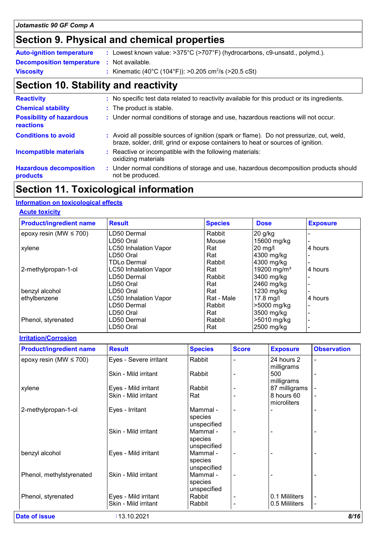# **Section 9. Physical and chemical properties**

| <b>Auto-ignition temperature</b>                  | : Lowest known value: >375°C (>707°F) (hydrocarbons, c9-unsatd., polymd.). |
|---------------------------------------------------|----------------------------------------------------------------------------|
| <b>Decomposition temperature :</b> Not available. |                                                                            |
| <b>Viscosity</b>                                  | : Kinematic (40°C (104°F)): >0.205 cm <sup>2</sup> /s (>20.5 cSt)          |

# **Section 10. Stability and reactivity**

| <b>Reactivity</b>                                   | : No specific test data related to reactivity available for this product or its ingredients.                                                                                 |
|-----------------------------------------------------|------------------------------------------------------------------------------------------------------------------------------------------------------------------------------|
| <b>Chemical stability</b>                           | : The product is stable.                                                                                                                                                     |
| <b>Possibility of hazardous</b><br><b>reactions</b> | : Under normal conditions of storage and use, hazardous reactions will not occur.                                                                                            |
| <b>Conditions to avoid</b>                          | : Avoid all possible sources of ignition (spark or flame). Do not pressurize, cut, weld,<br>braze, solder, drill, grind or expose containers to heat or sources of ignition. |
| <b>Incompatible materials</b>                       | : Reactive or incompatible with the following materials:<br>oxidizing materials                                                                                              |
| <b>Hazardous decomposition</b><br>products          | : Under normal conditions of storage and use, hazardous decomposition products should<br>not be produced.                                                                    |

# **Section 11. Toxicological information**

### **Information on toxicological effects**

### **Acute toxicity**

| <b>Product/ingredient name</b> | <b>Result</b>                | <b>Species</b> | <b>Dose</b>             | <b>Exposure</b> |
|--------------------------------|------------------------------|----------------|-------------------------|-----------------|
| epoxy resin (MW $\leq$ 700)    | LD50 Dermal                  | Rabbit         | 20 g/kg                 |                 |
|                                | LD50 Oral                    | Mouse          | 15600 mg/kg             |                 |
| xylene                         | <b>LC50 Inhalation Vapor</b> | Rat            | 20 mg/l                 | 4 hours         |
|                                | LD50 Oral                    | Rat            | 4300 mg/kg              |                 |
|                                | TDLo Dermal                  | Rabbit         | 4300 mg/kg              |                 |
| 2-methylpropan-1-ol            | <b>LC50 Inhalation Vapor</b> | Rat            | 19200 mg/m <sup>3</sup> | 4 hours         |
|                                | LD50 Dermal                  | Rabbit         | 3400 mg/kg              |                 |
|                                | LD50 Oral                    | Rat            | 2460 mg/kg              |                 |
| benzyl alcohol                 | LD50 Oral                    | Rat            | 1230 mg/kg              |                 |
| ethylbenzene                   | <b>LC50 Inhalation Vapor</b> | Rat - Male     | $17.8$ mg/l             | 4 hours         |
|                                | LD50 Dermal                  | Rabbit         | >5000 mg/kg             |                 |
|                                | LD50 Oral                    | Rat            | 3500 mg/kg              |                 |
| Phenol, styrenated             | LD50 Dermal                  | Rabbit         | >5010 mg/kg             |                 |
|                                | LD50 Oral                    | Rat            | 2500 mg/kg              |                 |

### **Irritation/Corrosion**

| <b>Product/ingredient name</b> | <b>Result</b>                                | <b>Species</b>                     | <b>Score</b> | <b>Exposure</b>                  | <b>Observation</b>               |
|--------------------------------|----------------------------------------------|------------------------------------|--------------|----------------------------------|----------------------------------|
| epoxy resin (MW $\leq$ 700)    | Eyes - Severe irritant                       | Rabbit                             |              | 24 hours 2<br>milligrams         |                                  |
|                                | Skin - Mild irritant                         | Rabbit                             |              | 500<br>milligrams                |                                  |
| xylene                         | Eyes - Mild irritant                         | Rabbit                             |              | 87 milligrams                    |                                  |
|                                | Skin - Mild irritant                         | Rat                                |              | 8 hours 60<br>microliters        |                                  |
| 2-methylpropan-1-ol            | Eyes - Irritant                              | Mammal -<br>species<br>unspecified |              |                                  | $\overline{\phantom{a}}$         |
|                                | Skin - Mild irritant                         | Mammal -<br>species<br>unspecified |              |                                  |                                  |
| benzyl alcohol                 | Eyes - Mild irritant                         | Mammal -<br>species<br>unspecified |              |                                  |                                  |
| Phenol, methylstyrenated       | Skin - Mild irritant                         | Mammal -<br>species<br>unspecified |              |                                  | $\overline{\phantom{a}}$         |
| Phenol, styrenated             | Eyes - Mild irritant<br>Skin - Mild irritant | Rabbit<br>Rabbit                   |              | 0.1 Mililiters<br>0.5 Mililiters | $\blacksquare$<br>$\blacksquare$ |
| Date of issue                  | : 13.10.2021                                 |                                    |              |                                  | 8/16                             |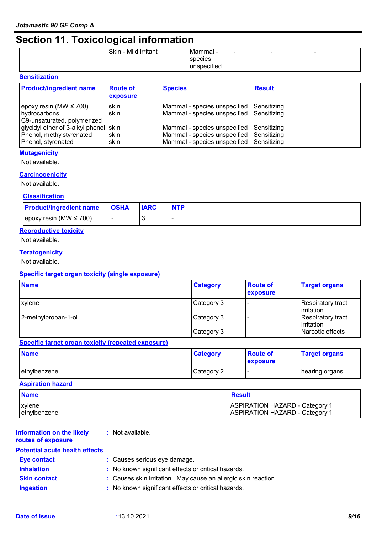# **Section 11. Toxicological information**

|  | -                    |             |  |  |
|--|----------------------|-------------|--|--|
|  | Skin - Mild irritant | Mammal -    |  |  |
|  |                      | species     |  |  |
|  |                      | unspecified |  |  |
|  |                      |             |  |  |

# **Sensitization**

| <b>Product/ingredient name</b>                                                          | <b>Route of</b><br>exposure | <b>Species</b>                                                                                                       | <b>Result</b>      |
|-----------------------------------------------------------------------------------------|-----------------------------|----------------------------------------------------------------------------------------------------------------------|--------------------|
| $ epoxy$ resin (MW $\leq$ 700)<br>hydrocarbons,<br>C9-unsaturated, polymerized          | skin<br>skin                | Mammal - species unspecified<br>Mammal - species unspecified Sensitizing                                             | <b>Sensitizing</b> |
| glycidyl ether of 3-alkyl phenol skin<br>Phenol, methylstyrenated<br>Phenol, styrenated | <b>skin</b><br>skin         | Mammal - species unspecified<br>Mammal - species unspecified Sensitizing<br>Mammal - species unspecified Sensitizing | Sensitizing        |

### **Mutagenicity**

Not available.

### **Carcinogenicity**

Not available.

# **Classification**

| <b>Product/ingredient name</b> | <b>OSHA</b> | <b>IARC</b> | <b>NTP</b> |
|--------------------------------|-------------|-------------|------------|
| epoxy resin (MW $\leq$ 700)    |             |             |            |

### **Reproductive toxicity**

Not available.

### **Teratogenicity**

Not available.

### **Specific target organ toxicity (single exposure)**

| <b>Name</b>         | <b>Category</b> | <b>Route of</b><br>exposure | <b>Target organs</b>                     |
|---------------------|-----------------|-----------------------------|------------------------------------------|
| <i>xylene</i>       | Category 3      |                             | Respiratory tract<br>l irritation        |
| 2-methylpropan-1-ol | Category 3      |                             | <b>Respiratory tract</b><br>  irritation |
|                     | Category 3      |                             | l Narcotic effects                       |

### **Specific target organ toxicity (repeated exposure)**

| <b>Name</b>  | <b>Category</b> | <b>Route of</b><br>exposure | <b>Target organs</b> |
|--------------|-----------------|-----------------------------|----------------------|
| ethylbenzene | Category 2      |                             | ∣hearing organs      |

### **Aspiration hazard**

| <b>Name</b>  | <b>Besult</b>                         |
|--------------|---------------------------------------|
| xylene       | <b>ASPIRATION HAZARD - Category 1</b> |
| ethylbenzene | <b>ASPIRATION HAZARD - Category 1</b> |

#### **Information on the likely routes of exposure :** Not available. **Potential acute health effects**

| <b>Eye contact</b>  | : Causes serious eye damage.                                   |
|---------------------|----------------------------------------------------------------|
| <b>Inhalation</b>   | : No known significant effects or critical hazards.            |
| <b>Skin contact</b> | : Causes skin irritation. May cause an allergic skin reaction. |
| <b>Ingestion</b>    | : No known significant effects or critical hazards.            |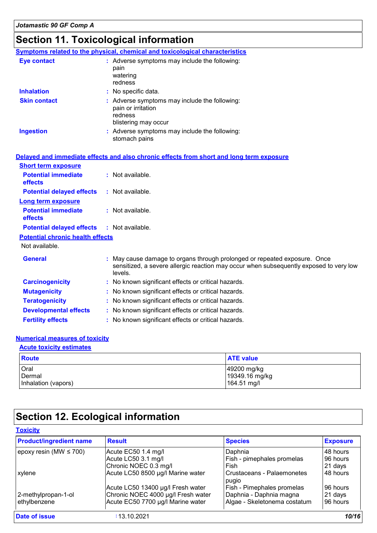# **Section 11. Toxicological information**

|                                         | Symptoms related to the physical, chemical and toxicological characteristics                                                                                                   |
|-----------------------------------------|--------------------------------------------------------------------------------------------------------------------------------------------------------------------------------|
| <b>Eye contact</b>                      | : Adverse symptoms may include the following:<br>pain<br>watering<br>redness                                                                                                   |
| <b>Inhalation</b>                       | : No specific data.                                                                                                                                                            |
| <b>Skin contact</b>                     | : Adverse symptoms may include the following:<br>pain or irritation<br>redness<br>blistering may occur                                                                         |
| <b>Ingestion</b>                        | : Adverse symptoms may include the following:<br>stomach pains                                                                                                                 |
|                                         | Delayed and immediate effects and also chronic effects from short and long term exposure                                                                                       |
| <b>Short term exposure</b>              |                                                                                                                                                                                |
| <b>Potential immediate</b><br>effects   | : Not available.                                                                                                                                                               |
| <b>Potential delayed effects</b>        | : Not available.                                                                                                                                                               |
| <b>Long term exposure</b>               |                                                                                                                                                                                |
| <b>Potential immediate</b><br>effects   | : Not available.                                                                                                                                                               |
| <b>Potential delayed effects</b>        | : Not available.                                                                                                                                                               |
| <b>Potential chronic health effects</b> |                                                                                                                                                                                |
| Not available.                          |                                                                                                                                                                                |
| <b>General</b>                          | : May cause damage to organs through prolonged or repeated exposure. Once<br>sensitized, a severe allergic reaction may occur when subsequently exposed to very low<br>levels. |
| <b>Carcinogenicity</b>                  | : No known significant effects or critical hazards.                                                                                                                            |
| <b>Mutagenicity</b>                     | : No known significant effects or critical hazards.                                                                                                                            |
| <b>Teratogenicity</b>                   | : No known significant effects or critical hazards.                                                                                                                            |
| <b>Developmental effects</b>            | : No known significant effects or critical hazards.                                                                                                                            |
| <b>Fertility effects</b>                | : No known significant effects or critical hazards.                                                                                                                            |
|                                         |                                                                                                                                                                                |

### **Numerical measures of toxicity**

Inhalation (vapors)

# Oral 49200 mg/kg Dermal<br>
Dermal 19349.16 mg/kg<br>
Inhalation (vapors) 164.51 mg/l **Route ATE** value **Acute toxicity estimates**

# **Section 12. Ecological information**

| <b>Product/ingredient name</b> | <b>Result</b>                      | <b>Species</b>                      | <b>Exposure</b> |
|--------------------------------|------------------------------------|-------------------------------------|-----------------|
| epoxy resin (MW $\leq$ 700)    | Acute EC50 1.4 mg/l                | Daphnia                             | 48 hours        |
|                                | Acute LC50 3.1 mg/l                | Fish - pimephales promelas          | 96 hours        |
|                                | Chronic NOEC 0.3 mg/l              | Fish                                | 21 days         |
| xylene                         | Acute LC50 8500 µg/l Marine water  | Crustaceans - Palaemonetes<br>pugio | 48 hours        |
|                                | Acute LC50 13400 µg/l Fresh water  | Fish - Pimephales promelas          | 96 hours        |
| 2-methylpropan-1-ol            | Chronic NOEC 4000 µg/l Fresh water | Daphnia - Daphnia magna             | 21 days         |
| ethylbenzene                   | Acute EC50 7700 µg/l Marine water  | Algae - Skeletonema costatum        | 96 hours        |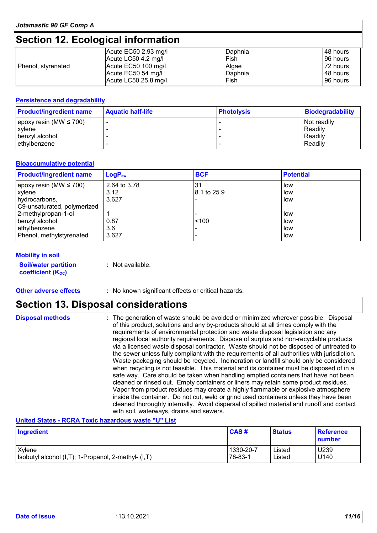# **Section 12. Ecological information**

|                    | Acute $EC50$ 2.93 mg/l | Daphnia | 48 hours |
|--------------------|------------------------|---------|----------|
|                    | Acute LC50 4.2 mg/l    | Fish    | 96 hours |
| Phenol, styrenated | Acute EC50 100 mg/l    | Algae   | 72 hours |
|                    | Acute EC50 54 mg/l     | Daphnia | 48 hours |
|                    | Acute LC50 25.8 mg/l   | Fish    | 96 hours |

### **Persistence and degradability**

| <b>Product/ingredient name</b> | <b>Aquatic half-life</b> | <b>Photolysis</b> | Biodegradability |
|--------------------------------|--------------------------|-------------------|------------------|
| $ epoxy$ resin (MW $\leq$ 700) |                          |                   | Not readily      |
| xylene                         |                          |                   | Readily          |
| benzyl alcohol                 |                          |                   | Readily          |
| lethylbenzene                  |                          |                   | Readily          |

### **Bioaccumulative potential**

| <b>Product/ingredient name</b> | $LogP_{ow}$  | <b>BCF</b>  | <b>Potential</b> |
|--------------------------------|--------------|-------------|------------------|
| epoxy resin (MW $\leq$ 700)    | 2.64 to 3.78 | 3'          | low              |
| <b>xylene</b>                  | 3.12         | 8.1 to 25.9 | low              |
| hydrocarbons,                  | 3.627        |             | low              |
| C9-unsaturated, polymerized    |              |             |                  |
| 2-methylpropan-1-ol            |              |             | low              |
| benzyl alcohol                 | 0.87         | < 100       | low              |
| ethylbenzene                   | 3.6          |             | low              |
| Phenol, methylstyrenated       | 3.627        |             | low              |

### **Mobility in soil**

**Soil/water partition coefficient (Koc)** 

**:** Not available.

### **Other adverse effects** : No known significant effects or critical hazards.

# **Section 13. Disposal considerations**

| <b>Disposal methods</b> | : The generation of waste should be avoided or minimized wherever possible. Disposal<br>of this product, solutions and any by-products should at all times comply with the<br>requirements of environmental protection and waste disposal legislation and any<br>regional local authority requirements. Dispose of surplus and non-recyclable products<br>via a licensed waste disposal contractor. Waste should not be disposed of untreated to<br>the sewer unless fully compliant with the requirements of all authorities with jurisdiction.<br>Waste packaging should be recycled. Incineration or landfill should only be considered<br>when recycling is not feasible. This material and its container must be disposed of in a<br>safe way. Care should be taken when handling emptied containers that have not been<br>cleaned or rinsed out. Empty containers or liners may retain some product residues.<br>Vapor from product residues may create a highly flammable or explosive atmosphere<br>inside the container. Do not cut, weld or grind used containers unless they have been<br>cleaned thoroughly internally. Avoid dispersal of spilled material and runoff and contact |
|-------------------------|------------------------------------------------------------------------------------------------------------------------------------------------------------------------------------------------------------------------------------------------------------------------------------------------------------------------------------------------------------------------------------------------------------------------------------------------------------------------------------------------------------------------------------------------------------------------------------------------------------------------------------------------------------------------------------------------------------------------------------------------------------------------------------------------------------------------------------------------------------------------------------------------------------------------------------------------------------------------------------------------------------------------------------------------------------------------------------------------------------------------------------------------------------------------------------------------|
|                         | with soil, waterways, drains and sewers.                                                                                                                                                                                                                                                                                                                                                                                                                                                                                                                                                                                                                                                                                                                                                                                                                                                                                                                                                                                                                                                                                                                                                       |

### **United States - RCRA Toxic hazardous waste "U" List**

| Ingredient                                          | CAS#      | <b>Status</b> | <b>Reference</b><br>number |
|-----------------------------------------------------|-----------|---------------|----------------------------|
| Xylene                                              | 1330-20-7 | Listed        | U239                       |
| Isobutyl alcohol (I,T); 1-Propanol, 2-methyl- (I,T) | 78-83-1   | ∟isted        | U140                       |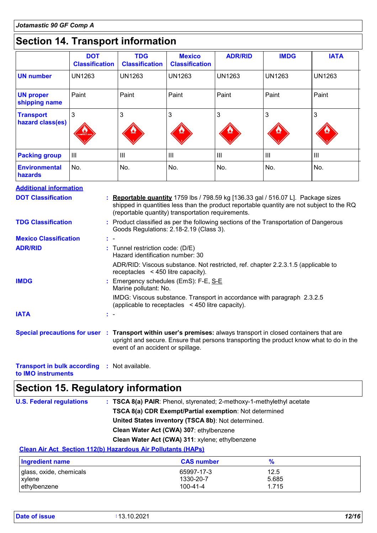# **Section 14. Transport information**

|                                                                                                                 | <b>DOT</b><br><b>Classification</b> | <b>TDG</b><br><b>Classification</b>                                                                                                          | <b>Mexico</b><br><b>Classification</b> | <b>ADR/RID</b> | <b>IMDG</b>   | <b>IATA</b>                                                                               |
|-----------------------------------------------------------------------------------------------------------------|-------------------------------------|----------------------------------------------------------------------------------------------------------------------------------------------|----------------------------------------|----------------|---------------|-------------------------------------------------------------------------------------------|
| <b>UN number</b>                                                                                                | <b>UN1263</b>                       | <b>UN1263</b>                                                                                                                                | <b>UN1263</b>                          | <b>UN1263</b>  | <b>UN1263</b> | <b>UN1263</b>                                                                             |
| <b>UN proper</b><br>shipping name                                                                               | Paint                               | Paint                                                                                                                                        | Paint                                  | Paint          | Paint         | Paint                                                                                     |
| <b>Transport</b><br>hazard class(es)                                                                            | 3                                   | 3                                                                                                                                            | 3                                      | 3              | 3             | 3                                                                                         |
| <b>Packing group</b>                                                                                            | $\mathbf{III}$                      | $\mathop{\rm III}$                                                                                                                           | III                                    | III            | III           | III                                                                                       |
| <b>Environmental</b><br>hazards                                                                                 | No.                                 | No.                                                                                                                                          | No.                                    | No.            | No.           | No.                                                                                       |
| <b>Additional information</b>                                                                                   |                                     |                                                                                                                                              |                                        |                |               |                                                                                           |
| <b>DOT Classification</b>                                                                                       |                                     | <b>Reportable quantity</b> 1759 lbs / 798.59 kg [136.33 gal / 516.07 L]. Package sizes<br>(reportable quantity) transportation requirements. |                                        |                |               | shipped in quantities less than the product reportable quantity are not subject to the RQ |
| <b>TDG Classification</b>                                                                                       |                                     | : Product classified as per the following sections of the Transportation of Dangerous<br>Goods Regulations: 2.18-2.19 (Class 3).             |                                        |                |               |                                                                                           |
| <b>Mexico Classification</b>                                                                                    |                                     |                                                                                                                                              |                                        |                |               |                                                                                           |
| <b>ADR/RID</b>                                                                                                  |                                     | : Tunnel restriction code: (D/E)<br>Hazard identification number: 30                                                                         |                                        |                |               |                                                                                           |
|                                                                                                                 |                                     | ADR/RID: Viscous substance. Not restricted, ref. chapter 2.2.3.1.5 (applicable to<br>receptacles $\leq$ 450 litre capacity).                 |                                        |                |               |                                                                                           |
| <b>IMDG</b>                                                                                                     |                                     | : Emergency schedules (EmS): F-E, S-E<br>Marine pollutant: No.                                                                               |                                        |                |               |                                                                                           |
|                                                                                                                 |                                     | IMDG: Viscous substance. Transport in accordance with paragraph 2.3.2.5<br>(applicable to receptacles < 450 litre capacity).                 |                                        |                |               |                                                                                           |
| <b>IATA</b>                                                                                                     |                                     |                                                                                                                                              |                                        |                |               |                                                                                           |
| Special precautions for user : Transport within user's premises: always transport in closed containers that are |                                     | event of an accident or spillage.                                                                                                            |                                        |                |               | upright and secure. Ensure that persons transporting the product know what to do in the   |

**Transport in bulk according :** Not available.

**to IMO instruments**

# **Section 15. Regulatory information**

| <b>U.S. Federal regulations</b> | : TSCA 8(a) PAIR: Phenol, styrenated; 2-methoxy-1-methylethyl acetate |
|---------------------------------|-----------------------------------------------------------------------|
|                                 | TSCA 8(a) CDR Exempt/Partial exemption: Not determined                |
|                                 | United States inventory (TSCA 8b): Not determined.                    |
|                                 | Clean Water Act (CWA) 307: ethylbenzene                               |
|                                 | Clean Water Act (CWA) 311: xylene; ethylbenzene                       |
|                                 |                                                                       |

# **Clean Air Act Section 112(b) Hazardous Air Pollutants (HAPs)**

| <b>Ingredient name</b>  | <b>CAS number</b>     |                |  |
|-------------------------|-----------------------|----------------|--|
| glass, oxide, chemicals | 65997-17-3            | 12.5           |  |
| xylene<br>ethylbenzene  | 1330-20-7<br>100-41-4 | 5.685<br>1.715 |  |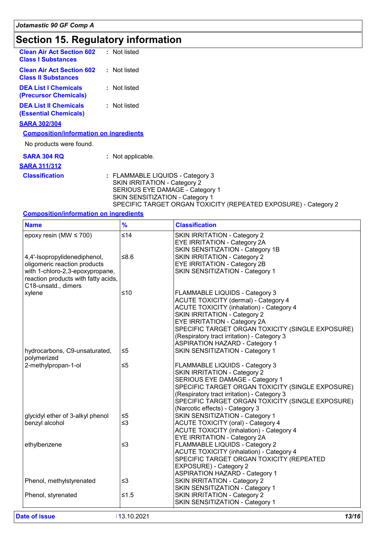# **Section 15. Regulatory information**

| <b>Clean Air Act Section 602</b><br><b>Class I Substances</b>  | : Not listed |  |
|----------------------------------------------------------------|--------------|--|
| <b>Clean Air Act Section 602</b><br><b>Class II Substances</b> | : Not listed |  |
| <b>DEA List I Chemicals</b><br>(Precursor Chemicals)           | : Not listed |  |
| <b>DEA List II Chemicals</b><br><b>(Essential Chemicals)</b>   | : Not listed |  |
| <b>SARA 302/304</b>                                            |              |  |
| <b>Composition/information on ingredients</b>                  |              |  |

No products were found.

| <b>SARA 304 RQ</b>    | : Not applicable.                                                                                                                                                                                                |
|-----------------------|------------------------------------------------------------------------------------------------------------------------------------------------------------------------------------------------------------------|
| <b>SARA 311/312</b>   |                                                                                                                                                                                                                  |
| <b>Classification</b> | : FLAMMABLE LIQUIDS - Category 3<br>SKIN IRRITATION - Category 2<br>SERIOUS EYE DAMAGE - Category 1<br><b>SKIN SENSITIZATION - Category 1</b><br>SPECIFIC TARGET ORGAN TOXICITY (REPEATED EXPOSURE) - Category 2 |

### **Composition/information on ingredients**

| <b>Name</b>                         | $\frac{9}{6}$ | <b>Classification</b>                            |
|-------------------------------------|---------------|--------------------------------------------------|
| epoxy resin (MW $\leq$ 700)         | $\leq 14$     | <b>SKIN IRRITATION - Category 2</b>              |
|                                     |               | EYE IRRITATION - Category 2A                     |
|                                     |               | SKIN SENSITIZATION - Category 1B                 |
| 4,4'-Isopropylidenediphenol,        | $≤8.6$        | <b>SKIN IRRITATION - Category 2</b>              |
| oligomeric reaction products        |               | <b>EYE IRRITATION - Category 2B</b>              |
| with 1-chloro-2,3-epoxypropane,     |               | SKIN SENSITIZATION - Category 1                  |
| reaction products with fatty acids, |               |                                                  |
| C18-unsatd., dimers                 |               |                                                  |
| xylene                              | ≤10           | FLAMMABLE LIQUIDS - Category 3                   |
|                                     |               | <b>ACUTE TOXICITY (dermal) - Category 4</b>      |
|                                     |               | <b>ACUTE TOXICITY (inhalation) - Category 4</b>  |
|                                     |               | <b>SKIN IRRITATION - Category 2</b>              |
|                                     |               | EYE IRRITATION - Category 2A                     |
|                                     |               | SPECIFIC TARGET ORGAN TOXICITY (SINGLE EXPOSURE) |
|                                     |               | (Respiratory tract irritation) - Category 3      |
|                                     |               | <b>ASPIRATION HAZARD - Category 1</b>            |
| hydrocarbons, C9-unsaturated,       | ≤5            | SKIN SENSITIZATION - Category 1                  |
| polymerized                         |               |                                                  |
| 2-methylpropan-1-ol                 | $\leq 5$      |                                                  |
|                                     |               | <b>FLAMMABLE LIQUIDS - Category 3</b>            |
|                                     |               | <b>SKIN IRRITATION - Category 2</b>              |
|                                     |               | SERIOUS EYE DAMAGE - Category 1                  |
|                                     |               | SPECIFIC TARGET ORGAN TOXICITY (SINGLE EXPOSURE) |
|                                     |               | (Respiratory tract irritation) - Category 3      |
|                                     |               | SPECIFIC TARGET ORGAN TOXICITY (SINGLE EXPOSURE) |
|                                     |               | (Narcotic effects) - Category 3                  |
| glycidyl ether of 3-alkyl phenol    | ≤5            | SKIN SENSITIZATION - Category 1                  |
| benzyl alcohol                      | ≤3            | <b>ACUTE TOXICITY (oral) - Category 4</b>        |
|                                     |               | <b>ACUTE TOXICITY (inhalation) - Category 4</b>  |
|                                     |               | <b>EYE IRRITATION - Category 2A</b>              |
| ethylbenzene                        | ≤3            | FLAMMABLE LIQUIDS - Category 2                   |
|                                     |               | <b>ACUTE TOXICITY (inhalation) - Category 4</b>  |
|                                     |               | SPECIFIC TARGET ORGAN TOXICITY (REPEATED         |
|                                     |               | EXPOSURE) - Category 2                           |
|                                     |               | <b>ASPIRATION HAZARD - Category 1</b>            |
| Phenol, methylstyrenated            | ≤3            | <b>SKIN IRRITATION - Category 2</b>              |
|                                     |               | SKIN SENSITIZATION - Category 1                  |
| Phenol, styrenated                  | $≤1.5$        | <b>SKIN IRRITATION - Category 2</b>              |
|                                     |               | SKIN SENSITIZATION - Category 1                  |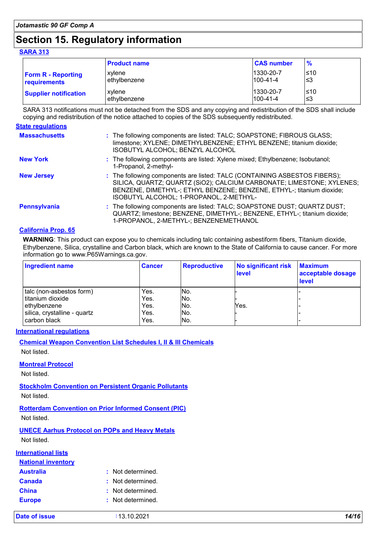# **Section 15. Regulatory information**

### **SARA 313**

|                              | <b>Product name</b> | <b>CAS number</b> | $\frac{9}{6}$ |
|------------------------------|---------------------|-------------------|---------------|
| <b>Form R - Reporting</b>    | xvlene              | 1330-20-7         | l≤10          |
| requirements                 | l ethvlbenzene      | $100 - 41 - 4$    | '≤3           |
| <b>Supplier notification</b> | xvlene              | 1330-20-7         | ≤10           |
|                              | l ethvlbenzene      | $100 - 41 - 4$    | '≤3           |

SARA 313 notifications must not be detached from the SDS and any copying and redistribution of the SDS shall include copying and redistribution of the notice attached to copies of the SDS subsequently redistributed.

| <b>State regulations</b> |                                                                                                                                                                                                                                                                        |
|--------------------------|------------------------------------------------------------------------------------------------------------------------------------------------------------------------------------------------------------------------------------------------------------------------|
| <b>Massachusetts</b>     | : The following components are listed: TALC; SOAPSTONE; FIBROUS GLASS;<br>limestone; XYLENE; DIMETHYLBENZENE; ETHYL BENZENE; titanium dioxide;<br>ISOBUTYL ALCOHOL; BENZYL ALCOHOL                                                                                     |
| <b>New York</b>          | : The following components are listed: Xylene mixed; Ethylbenzene; Isobutanol;<br>1-Propanol, 2-methyl-                                                                                                                                                                |
| <b>New Jersey</b>        | : The following components are listed: TALC (CONTAINING ASBESTOS FIBERS);<br>SILICA, QUARTZ; QUARTZ (SiO2); CALCIUM CARBONATE; LIMESTONE; XYLENES;<br>BENZENE, DIMETHYL-; ETHYL BENZENE; BENZENE, ETHYL-; titanium dioxide;<br>ISOBUTYL ALCOHOL; 1-PROPANOL, 2-METHYL- |
| <b>Pennsylvania</b>      | : The following components are listed: TALC; SOAPSTONE DUST; QUARTZ DUST;<br>QUARTZ; limestone; BENZENE, DIMETHYL-; BENZENE, ETHYL-; titanium dioxide;<br>1-PROPANOL, 2-METHYL-; BENZENEMETHANOL                                                                       |

### **California Prop. 65**

**WARNING**: This product can expose you to chemicals including talc containing asbestiform fibers, Titanium dioxide, Ethylbenzene, Silica, crystalline and Carbon black, which are known to the State of California to cause cancer. For more information go to www.P65Warnings.ca.gov.

| <b>Ingredient name</b>       | <b>Cancer</b> | <b>Reproductive</b> | No significant risk<br><b>level</b> | <b>Maximum</b><br>acceptable dosage<br><b>level</b> |
|------------------------------|---------------|---------------------|-------------------------------------|-----------------------------------------------------|
| talc (non-asbestos form)     | Yes.          | No.                 |                                     |                                                     |
| titanium dioxide             | Yes.          | No.                 |                                     |                                                     |
| ethylbenzene                 | Yes.          | No.                 | Yes.                                |                                                     |
| silica, crystalline - quartz | Yes.          | No.                 |                                     |                                                     |
| carbon black                 | Yes.          | No.                 |                                     |                                                     |

### **International regulations**

### **Chemical Weapon Convention List Schedules I, II & III Chemicals**

Not listed.

### **Montreal Protocol**

Not listed.

### **Stockholm Convention on Persistent Organic Pollutants**

Not listed.

### **Rotterdam Convention on Prior Informed Consent (PIC)**

Not listed.

### **UNECE Aarhus Protocol on POPs and Heavy Metals**

Not listed.

### **International lists**

| <b>National inventory</b> |                   |
|---------------------------|-------------------|
| <b>Australia</b>          | : Not determined. |
| <b>Canada</b>             | : Not determined. |
| <b>China</b>              | : Not determined. |
| <b>Europe</b>             | : Not determined. |

**Date of issue :** 13.10.2021 *14/16*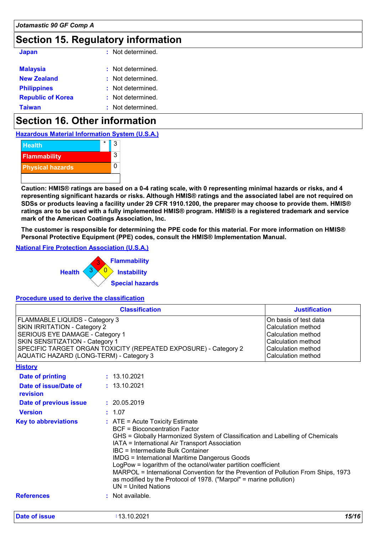# **Section 15. Regulatory information**

| <b>Japan</b>             | : Not determined. |
|--------------------------|-------------------|
| <b>Malaysia</b>          | : Not determined. |
| <b>New Zealand</b>       | : Not determined. |
| <b>Philippines</b>       | : Not determined. |
| <b>Republic of Korea</b> | : Not determined. |
| <b>Taiwan</b>            | : Not determined. |

# **Section 16. Other information**

**Hazardous Material Information System (U.S.A.)**



**Caution: HMIS® ratings are based on a 0-4 rating scale, with 0 representing minimal hazards or risks, and 4 representing significant hazards or risks. Although HMIS® ratings and the associated label are not required on SDSs or products leaving a facility under 29 CFR 1910.1200, the preparer may choose to provide them. HMIS® ratings are to be used with a fully implemented HMIS® program. HMIS® is a registered trademark and service mark of the American Coatings Association, Inc.**

**The customer is responsible for determining the PPE code for this material. For more information on HMIS® Personal Protective Equipment (PPE) codes, consult the HMIS® Implementation Manual.**

### **National Fire Protection Association (U.S.A.)**



### **Procedure used to derive the classification**

| <b>Classification</b>                                                                                                                                                                                                                                            |  |                                                                                                                                                                                                                                                                                                                                                                                                                                                                                                                                                                        | <b>Justification</b>                                                                                                                |  |
|------------------------------------------------------------------------------------------------------------------------------------------------------------------------------------------------------------------------------------------------------------------|--|------------------------------------------------------------------------------------------------------------------------------------------------------------------------------------------------------------------------------------------------------------------------------------------------------------------------------------------------------------------------------------------------------------------------------------------------------------------------------------------------------------------------------------------------------------------------|-------------------------------------------------------------------------------------------------------------------------------------|--|
| <b>FLAMMABLE LIQUIDS - Category 3</b><br><b>SKIN IRRITATION - Category 2</b><br>SERIOUS EYE DAMAGE - Category 1<br>SKIN SENSITIZATION - Category 1<br>SPECIFIC TARGET ORGAN TOXICITY (REPEATED EXPOSURE) - Category 2<br>AQUATIC HAZARD (LONG-TERM) - Category 3 |  |                                                                                                                                                                                                                                                                                                                                                                                                                                                                                                                                                                        | On basis of test data<br>Calculation method<br>Calculation method<br>Calculation method<br>Calculation method<br>Calculation method |  |
| <b>History</b>                                                                                                                                                                                                                                                   |  |                                                                                                                                                                                                                                                                                                                                                                                                                                                                                                                                                                        |                                                                                                                                     |  |
| <b>Date of printing</b>                                                                                                                                                                                                                                          |  | : 13.10.2021                                                                                                                                                                                                                                                                                                                                                                                                                                                                                                                                                           |                                                                                                                                     |  |
| Date of issue/Date of<br>revision                                                                                                                                                                                                                                |  | : 13.10.2021                                                                                                                                                                                                                                                                                                                                                                                                                                                                                                                                                           |                                                                                                                                     |  |
| <b>Date of previous issue</b>                                                                                                                                                                                                                                    |  | : 20.05.2019                                                                                                                                                                                                                                                                                                                                                                                                                                                                                                                                                           |                                                                                                                                     |  |
| <b>Version</b>                                                                                                                                                                                                                                                   |  | : 1.07                                                                                                                                                                                                                                                                                                                                                                                                                                                                                                                                                                 |                                                                                                                                     |  |
| <b>Key to abbreviations</b>                                                                                                                                                                                                                                      |  | $:$ ATE = Acute Toxicity Estimate<br><b>BCF</b> = Bioconcentration Factor<br>GHS = Globally Harmonized System of Classification and Labelling of Chemicals<br>IATA = International Air Transport Association<br><b>IBC</b> = Intermediate Bulk Container<br><b>IMDG = International Maritime Dangerous Goods</b><br>LogPow = logarithm of the octanol/water partition coefficient<br>MARPOL = International Convention for the Prevention of Pollution From Ships, 1973<br>as modified by the Protocol of 1978. ("Marpol" = marine pollution)<br>$UN = United Nations$ |                                                                                                                                     |  |
| <b>References</b>                                                                                                                                                                                                                                                |  | : Not available.                                                                                                                                                                                                                                                                                                                                                                                                                                                                                                                                                       |                                                                                                                                     |  |
| Date of issue                                                                                                                                                                                                                                                    |  | : 13.10.2021                                                                                                                                                                                                                                                                                                                                                                                                                                                                                                                                                           | 15/16                                                                                                                               |  |